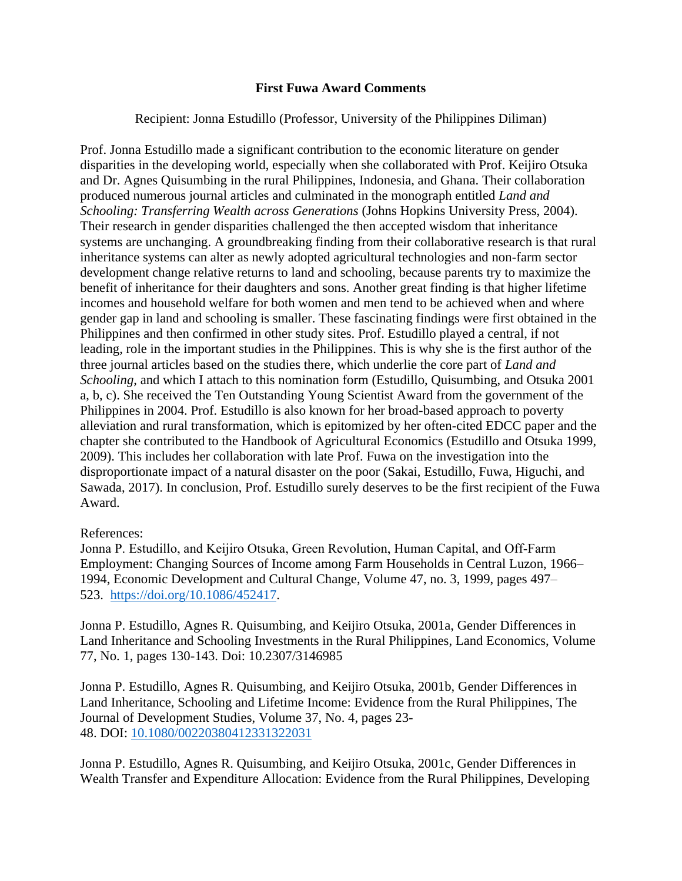## **First Fuwa Award Comments**

## Recipient: Jonna Estudillo (Professor, University of the Philippines Diliman)

Prof. Jonna Estudillo made a significant contribution to the economic literature on gender disparities in the developing world, especially when she collaborated with Prof. Keijiro Otsuka and Dr. Agnes Quisumbing in the rural Philippines, Indonesia, and Ghana. Their collaboration produced numerous journal articles and culminated in the monograph entitled *Land and Schooling: Transferring Wealth across Generations* (Johns Hopkins University Press, 2004). Their research in gender disparities challenged the then accepted wisdom that inheritance systems are unchanging. A groundbreaking finding from their collaborative research is that rural inheritance systems can alter as newly adopted agricultural technologies and non-farm sector development change relative returns to land and schooling, because parents try to maximize the benefit of inheritance for their daughters and sons. Another great finding is that higher lifetime incomes and household welfare for both women and men tend to be achieved when and where gender gap in land and schooling is smaller. These fascinating findings were first obtained in the Philippines and then confirmed in other study sites. Prof. Estudillo played a central, if not leading, role in the important studies in the Philippines. This is why she is the first author of the three journal articles based on the studies there, which underlie the core part of *Land and Schooling*, and which I attach to this nomination form (Estudillo, Quisumbing, and Otsuka 2001 a, b, c). She received the Ten Outstanding Young Scientist Award from the government of the Philippines in 2004. Prof. Estudillo is also known for her broad-based approach to poverty alleviation and rural transformation, which is epitomized by her often-cited EDCC paper and the chapter she contributed to the Handbook of Agricultural Economics (Estudillo and Otsuka 1999, 2009). This includes her collaboration with late Prof. Fuwa on the investigation into the disproportionate impact of a natural disaster on the poor (Sakai, Estudillo, Fuwa, Higuchi, and Sawada, 2017). In conclusion, Prof. Estudillo surely deserves to be the first recipient of the Fuwa Award.

## References:

Jonna P. Estudillo, and Keijiro Otsuka, Green Revolution, Human Capital, and Off‐Farm Employment: Changing Sources of Income among Farm Households in Central Luzon, 1966– 1994, Economic Development and Cultural Change, Volume 47, no. 3, 1999, pages 497– 523. [https://doi.org/10.1086/452417.](https://doi.org/10.1086/452417)

Jonna P. Estudillo, Agnes R. Quisumbing, and Keijiro Otsuka, 2001a, Gender Differences in Land Inheritance and Schooling Investments in the Rural Philippines, Land Economics, Volume 77, No. 1, pages 130-143. Doi: 10.2307/3146985

Jonna P. Estudillo, Agnes R. Quisumbing, and Keijiro Otsuka, 2001b, Gender Differences in Land Inheritance, Schooling and Lifetime Income: Evidence from the Rural Philippines, The Journal of Development Studies, Volume 37, No. 4, pages 23- 48. DOI: [10.1080/00220380412331322031](https://doi.org/10.1080/00220380412331322031)

Jonna P. Estudillo, Agnes R. Quisumbing, and Keijiro Otsuka, 2001c, Gender Differences in Wealth Transfer and Expenditure Allocation: Evidence from the Rural Philippines, Developing